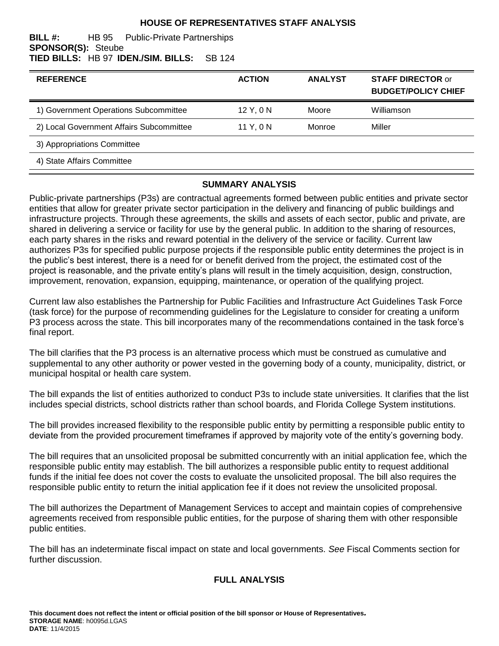### **HOUSE OF REPRESENTATIVES STAFF ANALYSIS**

#### **BILL #:** HB 95 Public-Private Partnerships **SPONSOR(S):** Steube **TIED BILLS:** HB 97 **IDEN./SIM. BILLS:** SB 124

| <b>REFERENCE</b>                         | <b>ACTION</b> | <b>ANALYST</b> | <b>STAFF DIRECTOR or</b><br><b>BUDGET/POLICY CHIEF</b> |
|------------------------------------------|---------------|----------------|--------------------------------------------------------|
| 1) Government Operations Subcommittee    | 12 Y, 0 N     | Moore          | Williamson                                             |
| 2) Local Government Affairs Subcommittee | 11 Y, 0 N     | Monroe         | Miller                                                 |
| 3) Appropriations Committee              |               |                |                                                        |
| 4) State Affairs Committee               |               |                |                                                        |

#### **SUMMARY ANALYSIS**

Public-private partnerships (P3s) are contractual agreements formed between public entities and private sector entities that allow for greater private sector participation in the delivery and financing of public buildings and infrastructure projects. Through these agreements, the skills and assets of each sector, public and private, are shared in delivering a service or facility for use by the general public. In addition to the sharing of resources, each party shares in the risks and reward potential in the delivery of the service or facility. Current law authorizes P3s for specified public purpose projects if the responsible public entity determines the project is in the public's best interest, there is a need for or benefit derived from the project, the estimated cost of the project is reasonable, and the private entity's plans will result in the timely acquisition, design, construction, improvement, renovation, expansion, equipping, maintenance, or operation of the qualifying project.

Current law also establishes the Partnership for Public Facilities and Infrastructure Act Guidelines Task Force (task force) for the purpose of recommending guidelines for the Legislature to consider for creating a uniform P3 process across the state. This bill incorporates many of the recommendations contained in the task force's final report.

The bill clarifies that the P3 process is an alternative process which must be construed as cumulative and supplemental to any other authority or power vested in the governing body of a county, municipality, district, or municipal hospital or health care system.

The bill expands the list of entities authorized to conduct P3s to include state universities. It clarifies that the list includes special districts, school districts rather than school boards, and Florida College System institutions.

The bill provides increased flexibility to the responsible public entity by permitting a responsible public entity to deviate from the provided procurement timeframes if approved by majority vote of the entity's governing body.

The bill requires that an unsolicited proposal be submitted concurrently with an initial application fee, which the responsible public entity may establish. The bill authorizes a responsible public entity to request additional funds if the initial fee does not cover the costs to evaluate the unsolicited proposal. The bill also requires the responsible public entity to return the initial application fee if it does not review the unsolicited proposal.

The bill authorizes the Department of Management Services to accept and maintain copies of comprehensive agreements received from responsible public entities, for the purpose of sharing them with other responsible public entities.

The bill has an indeterminate fiscal impact on state and local governments. *See* Fiscal Comments section for further discussion.

### **FULL ANALYSIS**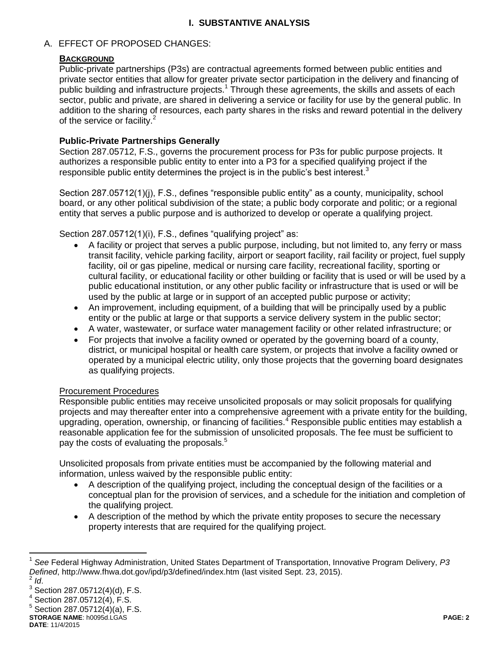## **I. SUBSTANTIVE ANALYSIS**

### A. EFFECT OF PROPOSED CHANGES:

### **BACKGROUND**

Public-private partnerships (P3s) are contractual agreements formed between public entities and private sector entities that allow for greater private sector participation in the delivery and financing of public building and infrastructure projects.<sup>1</sup> Through these agreements, the skills and assets of each sector, public and private, are shared in delivering a service or facility for use by the general public. In addition to the sharing of resources, each party shares in the risks and reward potential in the delivery of the service or facility.<sup>2</sup>

### **Public-Private Partnerships Generally**

Section 287.05712, F.S., governs the procurement process for P3s for public purpose projects. It authorizes a responsible public entity to enter into a P3 for a specified qualifying project if the responsible public entity determines the project is in the public's best interest.<sup>3</sup>

Section 287.05712(1)(i), F.S., defines "responsible public entity" as a county, municipality, school board, or any other political subdivision of the state; a public body corporate and politic; or a regional entity that serves a public purpose and is authorized to develop or operate a qualifying project.

Section 287.05712(1)(i), F.S., defines "qualifying project" as:

- A facility or project that serves a public purpose, including, but not limited to, any ferry or mass transit facility, vehicle parking facility, airport or seaport facility, rail facility or project, fuel supply facility, oil or gas pipeline, medical or nursing care facility, recreational facility, sporting or cultural facility, or educational facility or other building or facility that is used or will be used by a public educational institution, or any other public facility or infrastructure that is used or will be used by the public at large or in support of an accepted public purpose or activity;
- An improvement, including equipment, of a building that will be principally used by a public entity or the public at large or that supports a service delivery system in the public sector;
- A water, wastewater, or surface water management facility or other related infrastructure; or
- For projects that involve a facility owned or operated by the governing board of a county, district, or municipal hospital or health care system, or projects that involve a facility owned or operated by a municipal electric utility, only those projects that the governing board designates as qualifying projects.

### Procurement Procedures

Responsible public entities may receive unsolicited proposals or may solicit proposals for qualifying projects and may thereafter enter into a comprehensive agreement with a private entity for the building, upgrading, operation, ownership, or financing of facilities.<sup>4</sup> Responsible public entities may establish a reasonable application fee for the submission of unsolicited proposals. The fee must be sufficient to pay the costs of evaluating the proposals.<sup>5</sup>

Unsolicited proposals from private entities must be accompanied by the following material and information, unless waived by the responsible public entity:

- A description of the qualifying project, including the conceptual design of the facilities or a conceptual plan for the provision of services, and a schedule for the initiation and completion of the qualifying project.
- A description of the method by which the private entity proposes to secure the necessary property interests that are required for the qualifying project.

**STORAGE NAME**: h0095d.LGAS **PAGE: 2**

 $\overline{a}$ 

<sup>1</sup> *See* Federal Highway Administration, United States Department of Transportation, Innovative Program Delivery, *P3 Defined*, http://www.fhwa.dot.gov/ipd/p3/defined/index.htm (last visited Sept. 23, 2015). 2 *Id*.

 $^3$  Section 287.05712(4)(d), F.S.

 $4$  Section 287.05712(4), F.S.

 $5$  Section 287.05712(4)(a), F.S.

**DATE**: 11/4/2015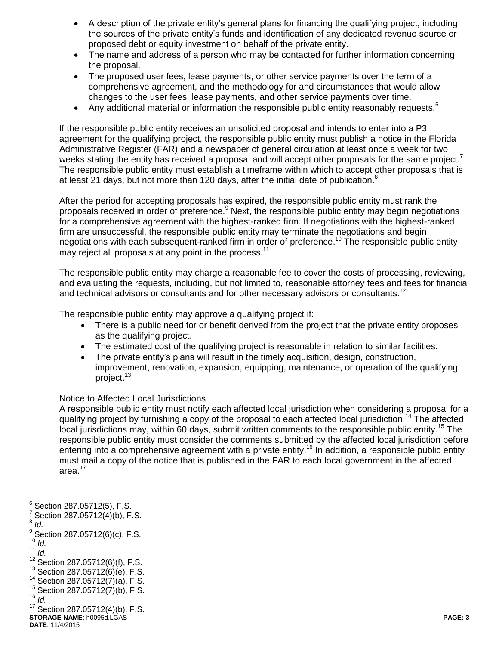- A description of the private entity's general plans for financing the qualifying project, including the sources of the private entity's funds and identification of any dedicated revenue source or proposed debt or equity investment on behalf of the private entity.
- The name and address of a person who may be contacted for further information concerning the proposal.
- The proposed user fees, lease payments, or other service payments over the term of a comprehensive agreement, and the methodology for and circumstances that would allow changes to the user fees, lease payments, and other service payments over time.
- Any additional material or information the responsible public entity reasonably requests.<sup>6</sup>

If the responsible public entity receives an unsolicited proposal and intends to enter into a P3 agreement for the qualifying project, the responsible public entity must publish a notice in the Florida Administrative Register (FAR) and a newspaper of general circulation at least once a week for two weeks stating the entity has received a proposal and will accept other proposals for the same project.<sup>7</sup> The responsible public entity must establish a timeframe within which to accept other proposals that is at least 21 days, but not more than 120 days, after the initial date of publication.<sup>8</sup>

After the period for accepting proposals has expired, the responsible public entity must rank the proposals received in order of preference.<sup>9</sup> Next, the responsible public entity may begin negotiations for a comprehensive agreement with the highest-ranked firm. If negotiations with the highest-ranked firm are unsuccessful, the responsible public entity may terminate the negotiations and begin negotiations with each subsequent-ranked firm in order of preference.<sup>10</sup> The responsible public entity may reject all proposals at any point in the process.<sup>11</sup>

The responsible public entity may charge a reasonable fee to cover the costs of processing, reviewing, and evaluating the requests, including, but not limited to, reasonable attorney fees and fees for financial and technical advisors or consultants and for other necessary advisors or consultants.<sup>12</sup>

The responsible public entity may approve a qualifying project if:

- There is a public need for or benefit derived from the project that the private entity proposes as the qualifying project.
- The estimated cost of the qualifying project is reasonable in relation to similar facilities.
- The private entity's plans will result in the timely acquisition, design, construction, improvement, renovation, expansion, equipping, maintenance, or operation of the qualifying project.<sup>13</sup>

#### Notice to Affected Local Jurisdictions

A responsible public entity must notify each affected local jurisdiction when considering a proposal for a qualifying project by furnishing a copy of the proposal to each affected local jurisdiction.<sup>14</sup> The affected local jurisdictions may, within 60 days, submit written comments to the responsible public entity.<sup>15</sup> The responsible public entity must consider the comments submitted by the affected local jurisdiction before entering into a comprehensive agreement with a private entity.<sup>16</sup> In addition, a responsible public entity must mail a copy of the notice that is published in the FAR to each local government in the affected area.<sup>17</sup>

8 *Id.*

- $10^{10}$   $\frac{1}{d}$ .
- <sup>11</sup> *Id.*

<sup>—&</sup>lt;br>6 Section 287.05712(5), F.S.

 $7$  Section 287.05712(4)(b), F.S.

 $^{9}$  Section 287.05712(6)(c), F.S.

 $12$  Section 287.05712(6)(f), F.S.

 $13$  Section 287.05712(6)(e), F.S.

<sup>14</sup> Section 287.05712(7)(a), F.S.

 $15$  Section 287.05712(7)(b), F.S.

 $16$   $\bar{I}d$ .

**STORAGE NAME**: h0095d.LGAS **PAGE: 3** <sup>17</sup> Section 287.05712(4)(b), F.S.

**DATE**: 11/4/2015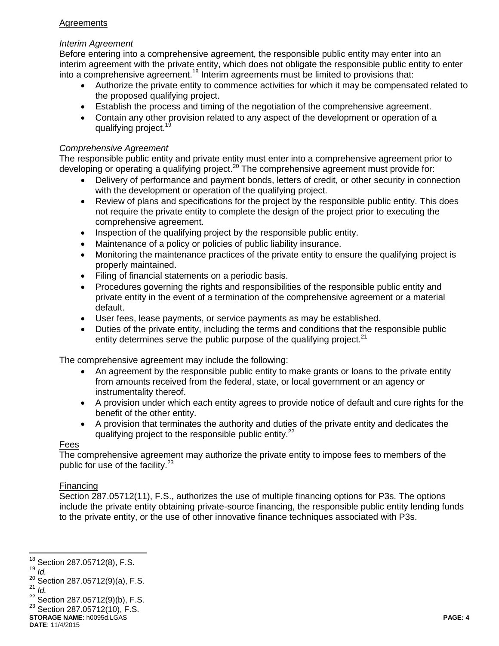## **Agreements**

### *Interim Agreement*

Before entering into a comprehensive agreement, the responsible public entity may enter into an interim agreement with the private entity, which does not obligate the responsible public entity to enter into a comprehensive agreement.<sup>18</sup> Interim agreements must be limited to provisions that:

- Authorize the private entity to commence activities for which it may be compensated related to the proposed qualifying project.
- Establish the process and timing of the negotiation of the comprehensive agreement.
- Contain any other provision related to any aspect of the development or operation of a qualifying project.<sup>19</sup>

### *Comprehensive Agreement*

The responsible public entity and private entity must enter into a comprehensive agreement prior to developing or operating a qualifying project.<sup>20</sup> The comprehensive agreement must provide for:

- Delivery of performance and payment bonds, letters of credit, or other security in connection with the development or operation of the qualifying project.
- Review of plans and specifications for the project by the responsible public entity. This does not require the private entity to complete the design of the project prior to executing the comprehensive agreement.
- Inspection of the qualifying project by the responsible public entity.
- Maintenance of a policy or policies of public liability insurance.
- Monitoring the maintenance practices of the private entity to ensure the qualifying project is properly maintained.
- Filing of financial statements on a periodic basis.
- Procedures governing the rights and responsibilities of the responsible public entity and private entity in the event of a termination of the comprehensive agreement or a material default.
- User fees, lease payments, or service payments as may be established.
- Duties of the private entity, including the terms and conditions that the responsible public entity determines serve the public purpose of the qualifying project. $21$

The comprehensive agreement may include the following:

- An agreement by the responsible public entity to make grants or loans to the private entity from amounts received from the federal, state, or local government or an agency or instrumentality thereof.
- A provision under which each entity agrees to provide notice of default and cure rights for the benefit of the other entity.
- A provision that terminates the authority and duties of the private entity and dedicates the qualifying project to the responsible public entity.<sup>22</sup>

### Fees

The comprehensive agreement may authorize the private entity to impose fees to members of the public for use of the facility. $23$ 

## Financing

Section 287.05712(11), F.S., authorizes the use of multiple financing options for P3s. The options include the private entity obtaining private-source financing, the responsible public entity lending funds to the private entity, or the use of other innovative finance techniques associated with P3s.

<sup>19</sup> *Id.*

 $\overline{a}$ 

 $22$  Section 287.05712(9)(b), F.S.

 $18$  Section 287.05712(8), F.S.

<sup>&</sup>lt;sup>20</sup> Section 287.05712(9)(a), F.S.  $^{21}$  *Id.* 

**STORAGE NAME**: h0095d.LGAS **PAGE: 4**  $23$  Section 287.05712(10), F.S.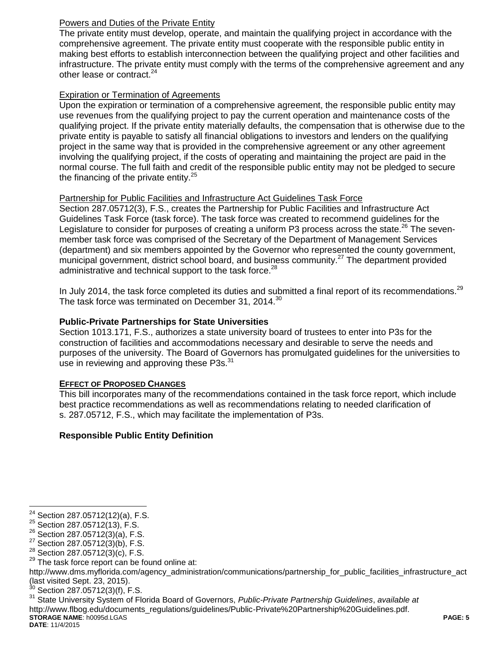## Powers and Duties of the Private Entity

The private entity must develop, operate, and maintain the qualifying project in accordance with the comprehensive agreement. The private entity must cooperate with the responsible public entity in making best efforts to establish interconnection between the qualifying project and other facilities and infrastructure. The private entity must comply with the terms of the comprehensive agreement and any other lease or contract.<sup>24</sup>

### Expiration or Termination of Agreements

Upon the expiration or termination of a comprehensive agreement, the responsible public entity may use revenues from the qualifying project to pay the current operation and maintenance costs of the qualifying project. If the private entity materially defaults, the compensation that is otherwise due to the private entity is payable to satisfy all financial obligations to investors and lenders on the qualifying project in the same way that is provided in the comprehensive agreement or any other agreement involving the qualifying project, if the costs of operating and maintaining the project are paid in the normal course. The full faith and credit of the responsible public entity may not be pledged to secure the financing of the private entity. $25$ 

### Partnership for Public Facilities and Infrastructure Act Guidelines Task Force

Section 287.05712(3), F.S., creates the Partnership for Public Facilities and Infrastructure Act Guidelines Task Force (task force). The task force was created to recommend guidelines for the Legislature to consider for purposes of creating a uniform P3 process across the state.<sup>26</sup> The sevenmember task force was comprised of the Secretary of the Department of Management Services (department) and six members appointed by the Governor who represented the county government, municipal government, district school board, and business community.<sup>27</sup> The department provided administrative and technical support to the task force. $^{28}$ 

In July 2014, the task force completed its duties and submitted a final report of its recommendations.<sup>29</sup> The task force was terminated on December 31, 2014.<sup>30</sup>

## **Public-Private Partnerships for State Universities**

Section 1013.171, F.S., authorizes a state university board of trustees to enter into P3s for the construction of facilities and accommodations necessary and desirable to serve the needs and purposes of the university. The Board of Governors has promulgated guidelines for the universities to use in reviewing and approving these P3s.<sup>31</sup>

### **EFFECT OF PROPOSED CHANGES**

This bill incorporates many of the recommendations contained in the task force report, which include best practice recommendations as well as recommendations relating to needed clarification of s. 287.05712, F.S., which may facilitate the implementation of P3s.

## **Responsible Public Entity Definition**

http://www.dms.myflorida.com/agency\_administration/communications/partnership\_for\_public\_facilities\_infrastructure\_act (last visited Sept. 23, 2015).

 $\frac{30}{31}$  Section 287.05712(3)(f), F.S.  $\frac{31}{31}$  State University System of Fle

**STORAGE NAME**: h0095d.LGAS **PAGE: 5 DATE**: 11/4/2015 <sup>31</sup> State University System of Florida Board of Governors, *Public-Private Partnership Guidelines*, *available at* http://www.flbog.edu/documents\_regulations/guidelines/Public-Private%20Partnership%20Guidelines.pdf.

 $\overline{a}$  $24$  Section 287.05712(12)(a), F.S.

 $^{25}$  Section 287.05712(13), F.S.

<sup>26</sup> Section 287.05712(3)(a), F.S.

 $27$  Section 287.05712(3)(b), F.S.

 $^{28}$  Section 287.05712(3)(c), F.S.<br> $^{29}$  The task force report can be for

The task force report can be found online at: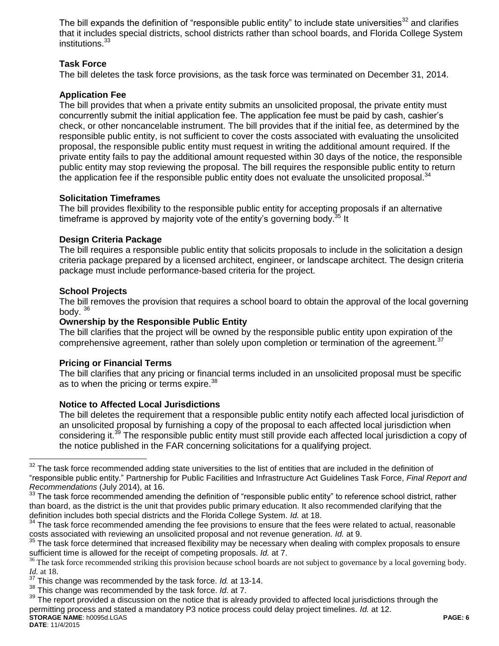The bill expands the definition of "responsible public entity" to include state universities<sup>32</sup> and clarifies that it includes special districts, school districts rather than school boards, and Florida College System institutions.<sup>33</sup>

## **Task Force**

The bill deletes the task force provisions, as the task force was terminated on December 31, 2014.

#### **Application Fee**

The bill provides that when a private entity submits an unsolicited proposal, the private entity must concurrently submit the initial application fee. The application fee must be paid by cash, cashier's check, or other noncancelable instrument. The bill provides that if the initial fee, as determined by the responsible public entity, is not sufficient to cover the costs associated with evaluating the unsolicited proposal, the responsible public entity must request in writing the additional amount required. If the private entity fails to pay the additional amount requested within 30 days of the notice, the responsible public entity may stop reviewing the proposal. The bill requires the responsible public entity to return the application fee if the responsible public entity does not evaluate the unsolicited proposal. $34$ 

#### **Solicitation Timeframes**

The bill provides flexibility to the responsible public entity for accepting proposals if an alternative timeframe is approved by majority vote of the entity's governing body.<sup>35</sup> It

#### **Design Criteria Package**

The bill requires a responsible public entity that solicits proposals to include in the solicitation a design criteria package prepared by a licensed architect, engineer, or landscape architect. The design criteria package must include performance-based criteria for the project.

#### **School Projects**

The bill removes the provision that requires a school board to obtain the approval of the local governing body.  $36$ 

#### **Ownership by the Responsible Public Entity**

The bill clarifies that the project will be owned by the responsible public entity upon expiration of the comprehensive agreement, rather than solely upon completion or termination of the agreement.<sup>37</sup>

#### **Pricing or Financial Terms**

The bill clarifies that any pricing or financial terms included in an unsolicited proposal must be specific as to when the pricing or terms expire.<sup>38</sup>

### **Notice to Affected Local Jurisdictions**

The bill deletes the requirement that a responsible public entity notify each affected local jurisdiction of an unsolicited proposal by furnishing a copy of the proposal to each affected local jurisdiction when considering it.<sup>39</sup> The responsible public entity must still provide each affected local jurisdiction a copy of the notice published in the FAR concerning solicitations for a qualifying project.

 $\overline{a}$ 

 $32$  The task force recommended adding state universities to the list of entities that are included in the definition of "responsible public entity." Partnership for Public Facilities and Infrastructure Act Guidelines Task Force, *Final Report and Recommendations* (July 2014), at 16.

<sup>&</sup>lt;sup>33</sup> The task force recommended amending the definition of "responsible public entity" to reference school district, rather than board, as the district is the unit that provides public primary education. It also recommended clarifying that the definition includes both special districts and the Florida College System. *Id.* at 18.

<sup>&</sup>lt;sup>34</sup> The task force recommended amending the fee provisions to ensure that the fees were related to actual, reasonable costs associated with reviewing an unsolicited proposal and not revenue generation. *Id.* at 9.

 $35$  The task force determined that increased flexibility may be necessary when dealing with complex proposals to ensure sufficient time is allowed for the receipt of competing proposals. *Id.* at 7.

<sup>&</sup>lt;sup>36</sup> The task force recommended striking this provision because school boards are not subject to governance by a local governing body. *Id.* at 18.

<sup>37</sup> This change was recommended by the task force. *Id.* at 13-14.

<sup>38</sup> This change was recommended by the task force. *Id*. at 7.

**STORAGE NAME**: h0095d.LGAS **PAGE: 6**  $39$  The report provided a discussion on the notice that is already provided to affected local jurisdictions through the permitting process and stated a mandatory P3 notice process could delay project timelines. *Id.* at 12.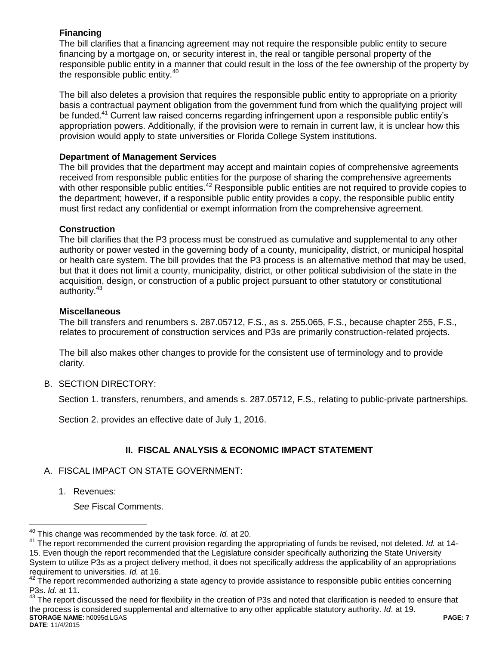## **Financing**

The bill clarifies that a financing agreement may not require the responsible public entity to secure financing by a mortgage on, or security interest in, the real or tangible personal property of the responsible public entity in a manner that could result in the loss of the fee ownership of the property by the responsible public entity. $40$ 

The bill also deletes a provision that requires the responsible public entity to appropriate on a priority basis a contractual payment obligation from the government fund from which the qualifying project will be funded.<sup>41</sup> Current law raised concerns regarding infringement upon a responsible public entity's appropriation powers. Additionally, if the provision were to remain in current law, it is unclear how this provision would apply to state universities or Florida College System institutions.

## **Department of Management Services**

The bill provides that the department may accept and maintain copies of comprehensive agreements received from responsible public entities for the purpose of sharing the comprehensive agreements with other responsible public entities.<sup>42</sup> Responsible public entities are not required to provide copies to the department; however, if a responsible public entity provides a copy, the responsible public entity must first redact any confidential or exempt information from the comprehensive agreement.

## **Construction**

The bill clarifies that the P3 process must be construed as cumulative and supplemental to any other authority or power vested in the governing body of a county, municipality, district, or municipal hospital or health care system. The bill provides that the P3 process is an alternative method that may be used, but that it does not limit a county, municipality, district, or other political subdivision of the state in the acquisition, design, or construction of a public project pursuant to other statutory or constitutional authority.<sup>43</sup>

### **Miscellaneous**

The bill transfers and renumbers s. 287.05712, F.S., as s. 255.065, F.S., because chapter 255, F.S., relates to procurement of construction services and P3s are primarily construction-related projects.

The bill also makes other changes to provide for the consistent use of terminology and to provide clarity.

B. SECTION DIRECTORY:

Section 1. transfers, renumbers, and amends s. 287.05712, F.S., relating to public-private partnerships.

Section 2. provides an effective date of July 1, 2016.

# **II. FISCAL ANALYSIS & ECONOMIC IMPACT STATEMENT**

- A. FISCAL IMPACT ON STATE GOVERNMENT:
	- 1. Revenues:

 $\overline{a}$ 

*See* Fiscal Comments.

<sup>40</sup> This change was recommended by the task force. *Id.* at 20.

<sup>41</sup> The report recommended the current provision regarding the appropriating of funds be revised, not deleted. *Id.* at 14- 15. Even though the report recommended that the Legislature consider specifically authorizing the State University System to utilize P3s as a project delivery method, it does not specifically address the applicability of an appropriations requirement to universities. *Id.* at 16.

 $42$  The report recommended authorizing a state agency to provide assistance to responsible public entities concerning P3s. *Id.* at 11.

**STORAGE NAME**: h0095d.LGAS **PAGE: 7 DATE**: 11/4/2015 <sup>43</sup> The report discussed the need for flexibility in the creation of P3s and noted that clarification is needed to ensure that the process is considered supplemental and alternative to any other applicable statutory authority. *Id*. at 19.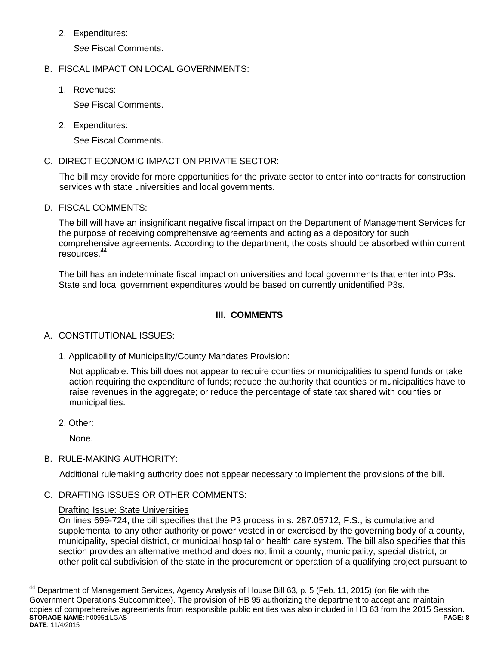2. Expenditures:

*See* Fiscal Comments.

## B. FISCAL IMPACT ON LOCAL GOVERNMENTS:

1. Revenues:

*See* Fiscal Comments.

2. Expenditures:

*See* Fiscal Comments.

C. DIRECT ECONOMIC IMPACT ON PRIVATE SECTOR:

The bill may provide for more opportunities for the private sector to enter into contracts for construction services with state universities and local governments.

D. FISCAL COMMENTS:

The bill will have an insignificant negative fiscal impact on the Department of Management Services for the purpose of receiving comprehensive agreements and acting as a depository for such comprehensive agreements. According to the department, the costs should be absorbed within current resources.<sup>44</sup>

The bill has an indeterminate fiscal impact on universities and local governments that enter into P3s. State and local government expenditures would be based on currently unidentified P3s.

## **III. COMMENTS**

## A. CONSTITUTIONAL ISSUES:

1. Applicability of Municipality/County Mandates Provision:

Not applicable. This bill does not appear to require counties or municipalities to spend funds or take action requiring the expenditure of funds; reduce the authority that counties or municipalities have to raise revenues in the aggregate; or reduce the percentage of state tax shared with counties or municipalities.

2. Other:

 $\overline{a}$ 

None.

B. RULE-MAKING AUTHORITY:

Additional rulemaking authority does not appear necessary to implement the provisions of the bill.

C. DRAFTING ISSUES OR OTHER COMMENTS:

## Drafting Issue: State Universities

On lines 699-724, the bill specifies that the P3 process in s. 287.05712, F.S., is cumulative and supplemental to any other authority or power vested in or exercised by the governing body of a county, municipality, special district, or municipal hospital or health care system. The bill also specifies that this section provides an alternative method and does not limit a county, municipality, special district, or other political subdivision of the state in the procurement or operation of a qualifying project pursuant to

**STORAGE NAME**: h0095d.LGAS **PAGE: 8 DATE**: 11/4/2015  $44$  Department of Management Services, Agency Analysis of House Bill 63, p. 5 (Feb. 11, 2015) (on file with the Government Operations Subcommittee). The provision of HB 95 authorizing the department to accept and maintain copies of comprehensive agreements from responsible public entities was also included in HB 63 from the 2015 Session.